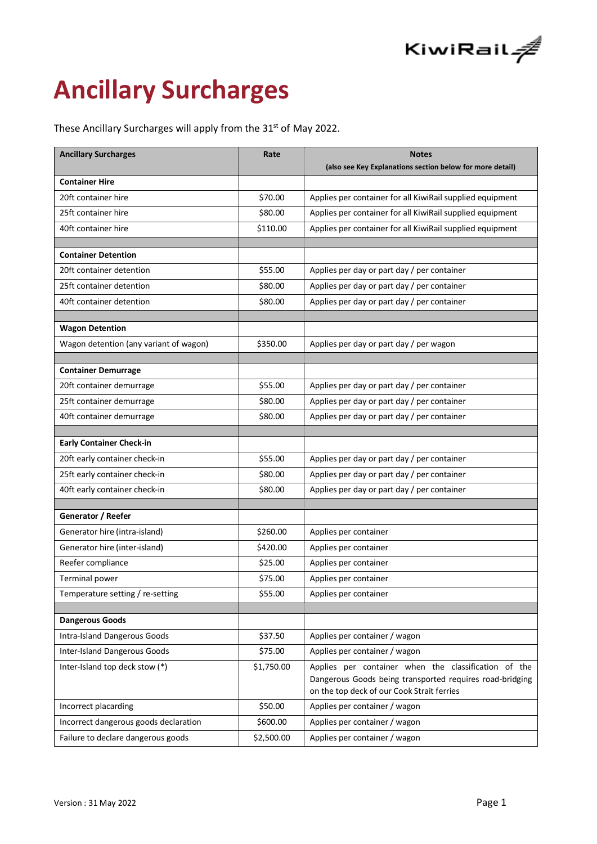

# **Ancillary Surcharges**

These Ancillary Surcharges will apply from the 31<sup>st</sup> of May 2022.

| <b>Ancillary Surcharges</b>            | Rate       | <b>Notes</b>                                              |  |
|----------------------------------------|------------|-----------------------------------------------------------|--|
|                                        |            | (also see Key Explanations section below for more detail) |  |
| <b>Container Hire</b>                  |            |                                                           |  |
| 20ft container hire                    | \$70.00    | Applies per container for all KiwiRail supplied equipment |  |
| 25ft container hire                    | \$80.00    | Applies per container for all KiwiRail supplied equipment |  |
| 40ft container hire                    | \$110.00   | Applies per container for all KiwiRail supplied equipment |  |
| <b>Container Detention</b>             |            |                                                           |  |
|                                        | \$55.00    |                                                           |  |
| 20ft container detention               |            | Applies per day or part day / per container               |  |
| 25ft container detention               | \$80.00    | Applies per day or part day / per container               |  |
| 40ft container detention               | \$80.00    | Applies per day or part day / per container               |  |
| <b>Wagon Detention</b>                 |            |                                                           |  |
| Wagon detention (any variant of wagon) | \$350.00   | Applies per day or part day / per wagon                   |  |
|                                        |            |                                                           |  |
| <b>Container Demurrage</b>             |            |                                                           |  |
| 20ft container demurrage               | \$55.00    | Applies per day or part day / per container               |  |
| 25ft container demurrage               | \$80.00    | Applies per day or part day / per container               |  |
| 40ft container demurrage               | \$80.00    | Applies per day or part day / per container               |  |
| <b>Early Container Check-in</b>        |            |                                                           |  |
| 20ft early container check-in          | \$55.00    | Applies per day or part day / per container               |  |
| 25ft early container check-in          | \$80.00    | Applies per day or part day / per container               |  |
| 40ft early container check-in          | \$80.00    | Applies per day or part day / per container               |  |
|                                        |            |                                                           |  |
| Generator / Reefer                     |            |                                                           |  |
| Generator hire (intra-island)          | \$260.00   | Applies per container                                     |  |
| Generator hire (inter-island)          | \$420.00   | Applies per container                                     |  |
| Reefer compliance                      | \$25.00    | Applies per container                                     |  |
| Terminal power                         | \$75.00    | Applies per container                                     |  |
| Temperature setting / re-setting       | \$55.00    | Applies per container                                     |  |
| <b>Dangerous Goods</b>                 |            |                                                           |  |
| Intra-Island Dangerous Goods           | \$37.50    | Applies per container / wagon                             |  |
| <b>Inter-Island Dangerous Goods</b>    | \$75.00    | Applies per container / wagon                             |  |
|                                        |            | Applies per container when the classification of the      |  |
| Inter-Island top deck stow (*)         | \$1,750.00 | Dangerous Goods being transported requires road-bridging  |  |
|                                        |            | on the top deck of our Cook Strait ferries                |  |
| Incorrect placarding                   | \$50.00    | Applies per container / wagon                             |  |
| Incorrect dangerous goods declaration  | \$600.00   | Applies per container / wagon                             |  |
| Failure to declare dangerous goods     | \$2,500.00 | Applies per container / wagon                             |  |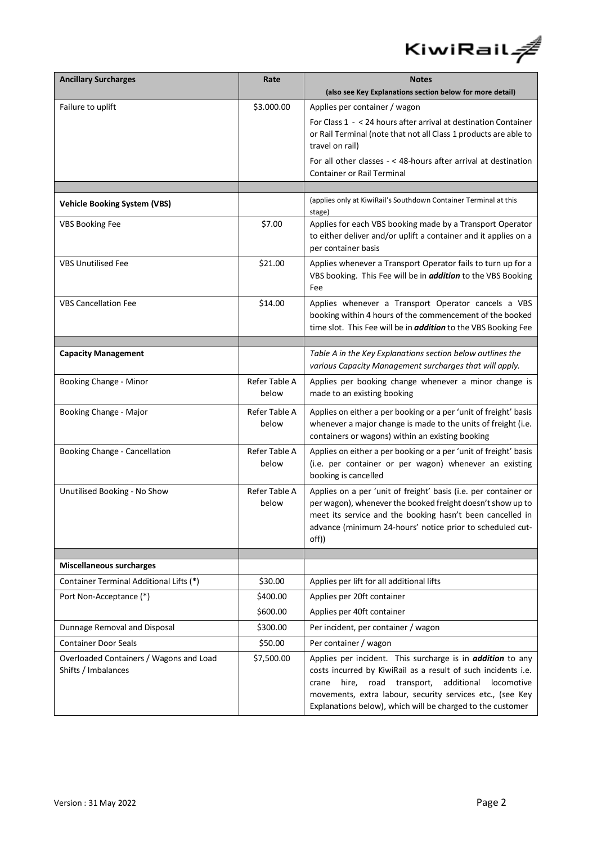

| <b>Ancillary Surcharges</b>                                    | Rate                   | <b>Notes</b>                                                                                                                                                                                                                                                                                                                   |  |
|----------------------------------------------------------------|------------------------|--------------------------------------------------------------------------------------------------------------------------------------------------------------------------------------------------------------------------------------------------------------------------------------------------------------------------------|--|
|                                                                |                        | (also see Key Explanations section below for more detail)                                                                                                                                                                                                                                                                      |  |
| Failure to uplift                                              | \$3.000.00             | Applies per container / wagon                                                                                                                                                                                                                                                                                                  |  |
|                                                                |                        | For Class 1 - < 24 hours after arrival at destination Container                                                                                                                                                                                                                                                                |  |
|                                                                |                        | or Rail Terminal (note that not all Class 1 products are able to<br>travel on rail)                                                                                                                                                                                                                                            |  |
|                                                                |                        | For all other classes - < 48-hours after arrival at destination<br><b>Container or Rail Terminal</b>                                                                                                                                                                                                                           |  |
|                                                                |                        |                                                                                                                                                                                                                                                                                                                                |  |
| <b>Vehicle Booking System (VBS)</b>                            |                        | (applies only at KiwiRail's Southdown Container Terminal at this<br>stage)                                                                                                                                                                                                                                                     |  |
| <b>VBS Booking Fee</b>                                         | \$7.00                 | Applies for each VBS booking made by a Transport Operator<br>to either deliver and/or uplift a container and it applies on a<br>per container basis                                                                                                                                                                            |  |
| <b>VBS Unutilised Fee</b>                                      | \$21.00                | Applies whenever a Transport Operator fails to turn up for a<br>VBS booking. This Fee will be in <i>addition</i> to the VBS Booking<br>Fee                                                                                                                                                                                     |  |
| <b>VBS Cancellation Fee</b>                                    | \$14.00                | Applies whenever a Transport Operator cancels a VBS<br>booking within 4 hours of the commencement of the booked<br>time slot. This Fee will be in <i>addition</i> to the VBS Booking Fee                                                                                                                                       |  |
|                                                                |                        |                                                                                                                                                                                                                                                                                                                                |  |
| <b>Capacity Management</b>                                     |                        | Table A in the Key Explanations section below outlines the<br>various Capacity Management surcharges that will apply.                                                                                                                                                                                                          |  |
| Booking Change - Minor                                         | Refer Table A<br>below | Applies per booking change whenever a minor change is<br>made to an existing booking                                                                                                                                                                                                                                           |  |
| Booking Change - Major                                         | Refer Table A<br>below | Applies on either a per booking or a per 'unit of freight' basis<br>whenever a major change is made to the units of freight (i.e.<br>containers or wagons) within an existing booking                                                                                                                                          |  |
| Booking Change - Cancellation                                  | Refer Table A<br>below | Applies on either a per booking or a per 'unit of freight' basis<br>(i.e. per container or per wagon) whenever an existing<br>booking is cancelled                                                                                                                                                                             |  |
| Unutilised Booking - No Show                                   | Refer Table A<br>below | Applies on a per 'unit of freight' basis (i.e. per container or<br>per wagon), whenever the booked freight doesn't show up to<br>meet its service and the booking hasn't been cancelled in<br>advance (minimum 24-hours' notice prior to scheduled cut-<br>off))                                                               |  |
| <b>Miscellaneous surcharges</b>                                |                        |                                                                                                                                                                                                                                                                                                                                |  |
| Container Terminal Additional Lifts (*)                        | \$30.00                | Applies per lift for all additional lifts                                                                                                                                                                                                                                                                                      |  |
| Port Non-Acceptance (*)                                        | \$400.00               | Applies per 20ft container                                                                                                                                                                                                                                                                                                     |  |
|                                                                | \$600.00               | Applies per 40ft container                                                                                                                                                                                                                                                                                                     |  |
| Dunnage Removal and Disposal                                   | \$300.00               | Per incident, per container / wagon                                                                                                                                                                                                                                                                                            |  |
| <b>Container Door Seals</b>                                    | \$50.00                | Per container / wagon                                                                                                                                                                                                                                                                                                          |  |
| Overloaded Containers / Wagons and Load<br>Shifts / Imbalances | \$7,500.00             | Applies per incident. This surcharge is in <i>addition</i> to any<br>costs incurred by KiwiRail as a result of such incidents i.e.<br>additional<br>hire,<br>road transport,<br>locomotive<br>crane<br>movements, extra labour, security services etc., (see Key<br>Explanations below), which will be charged to the customer |  |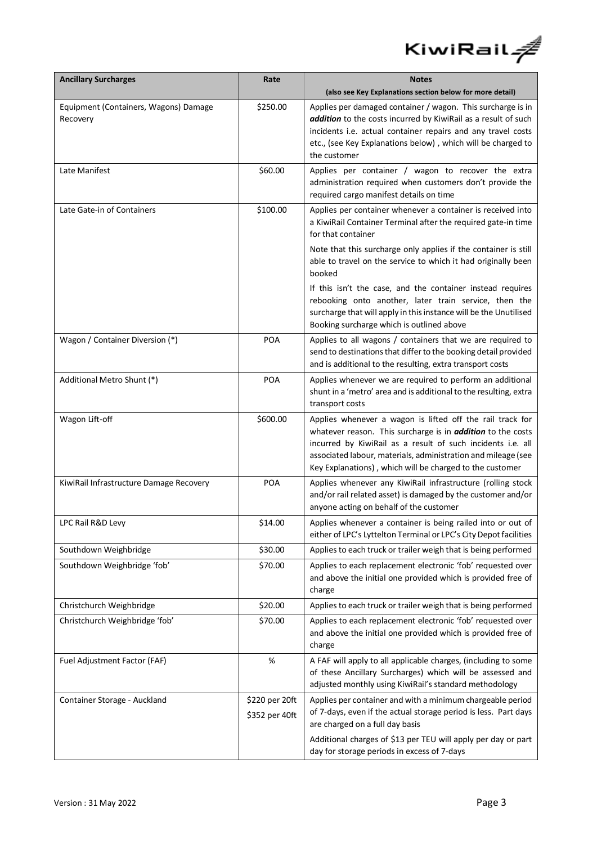

| <b>Ancillary Surcharges</b>                       | Rate                             | <b>Notes</b>                                                                                                                                                                                                                                                                                                                |  |
|---------------------------------------------------|----------------------------------|-----------------------------------------------------------------------------------------------------------------------------------------------------------------------------------------------------------------------------------------------------------------------------------------------------------------------------|--|
|                                                   |                                  | (also see Key Explanations section below for more detail)                                                                                                                                                                                                                                                                   |  |
| Equipment (Containers, Wagons) Damage<br>Recovery | \$250.00                         | Applies per damaged container / wagon. This surcharge is in<br>addition to the costs incurred by KiwiRail as a result of such<br>incidents i.e. actual container repairs and any travel costs<br>etc., (see Key Explanations below), which will be charged to<br>the customer                                               |  |
| Late Manifest                                     | \$60.00                          | Applies per container / wagon to recover the extra<br>administration required when customers don't provide the<br>required cargo manifest details on time                                                                                                                                                                   |  |
| Late Gate-in of Containers                        | \$100.00                         | Applies per container whenever a container is received into<br>a KiwiRail Container Terminal after the required gate-in time<br>for that container                                                                                                                                                                          |  |
|                                                   |                                  | Note that this surcharge only applies if the container is still<br>able to travel on the service to which it had originally been<br>booked                                                                                                                                                                                  |  |
|                                                   |                                  | If this isn't the case, and the container instead requires<br>rebooking onto another, later train service, then the<br>surcharge that will apply in this instance will be the Unutilised<br>Booking surcharge which is outlined above                                                                                       |  |
| Wagon / Container Diversion (*)                   | <b>POA</b>                       | Applies to all wagons / containers that we are required to<br>send to destinations that differ to the booking detail provided<br>and is additional to the resulting, extra transport costs                                                                                                                                  |  |
| Additional Metro Shunt (*)                        | <b>POA</b>                       | Applies whenever we are required to perform an additional<br>shunt in a 'metro' area and is additional to the resulting, extra<br>transport costs                                                                                                                                                                           |  |
| Wagon Lift-off                                    | \$600.00                         | Applies whenever a wagon is lifted off the rail track for<br>whatever reason. This surcharge is in <i>addition</i> to the costs<br>incurred by KiwiRail as a result of such incidents i.e. all<br>associated labour, materials, administration and mileage (see<br>Key Explanations), which will be charged to the customer |  |
| KiwiRail Infrastructure Damage Recovery           | <b>POA</b>                       | Applies whenever any KiwiRail infrastructure (rolling stock<br>and/or rail related asset) is damaged by the customer and/or<br>anyone acting on behalf of the customer                                                                                                                                                      |  |
| LPC Rail R&D Levy                                 | \$14.00                          | Applies whenever a container is being railed into or out of<br>either of LPC's Lyttelton Terminal or LPC's City Depot facilities                                                                                                                                                                                            |  |
| Southdown Weighbridge                             | \$30.00                          | Applies to each truck or trailer weigh that is being performed                                                                                                                                                                                                                                                              |  |
| Southdown Weighbridge 'fob'                       | \$70.00                          | Applies to each replacement electronic 'fob' requested over<br>and above the initial one provided which is provided free of<br>charge                                                                                                                                                                                       |  |
| Christchurch Weighbridge                          | \$20.00                          | Applies to each truck or trailer weigh that is being performed                                                                                                                                                                                                                                                              |  |
| Christchurch Weighbridge 'fob'                    | \$70.00                          | Applies to each replacement electronic 'fob' requested over<br>and above the initial one provided which is provided free of<br>charge                                                                                                                                                                                       |  |
| Fuel Adjustment Factor (FAF)                      | $\%$                             | A FAF will apply to all applicable charges, (including to some<br>of these Ancillary Surcharges) which will be assessed and<br>adjusted monthly using KiwiRail's standard methodology                                                                                                                                       |  |
| Container Storage - Auckland                      | \$220 per 20ft<br>\$352 per 40ft | Applies per container and with a minimum chargeable period<br>of 7-days, even if the actual storage period is less. Part days<br>are charged on a full day basis<br>Additional charges of \$13 per TEU will apply per day or part<br>day for storage periods in excess of 7-days                                            |  |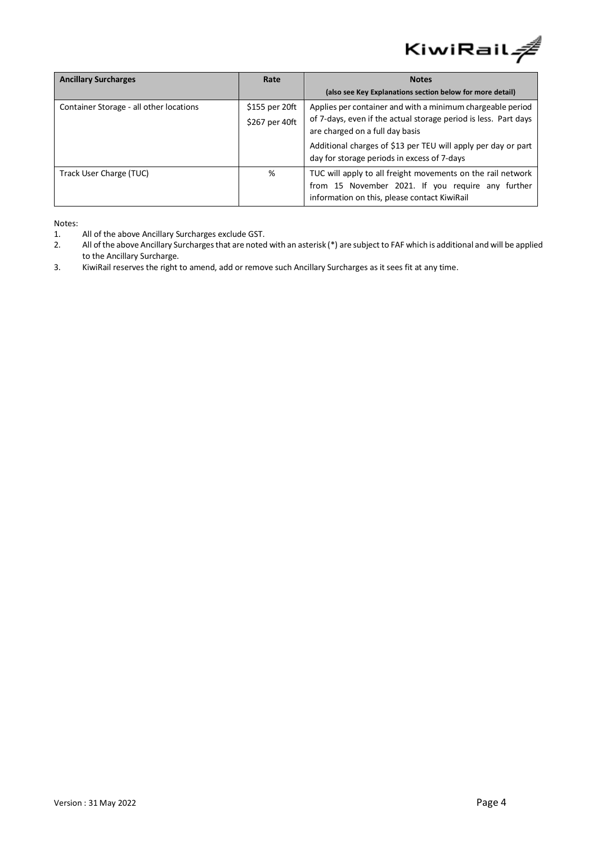

| <b>Ancillary Surcharges</b>             | Rate                             | <b>Notes</b>                                                                                                                                                     |  |
|-----------------------------------------|----------------------------------|------------------------------------------------------------------------------------------------------------------------------------------------------------------|--|
|                                         |                                  | (also see Key Explanations section below for more detail)                                                                                                        |  |
| Container Storage - all other locations | \$155 per 20ft<br>\$267 per 40ft | Applies per container and with a minimum chargeable period<br>of 7-days, even if the actual storage period is less. Part days<br>are charged on a full day basis |  |
|                                         |                                  | Additional charges of \$13 per TEU will apply per day or part<br>day for storage periods in excess of 7-days                                                     |  |
| Track User Charge (TUC)                 | %                                | TUC will apply to all freight movements on the rail network<br>from 15 November 2021. If you require any further<br>information on this, please contact KiwiRail |  |

Notes:

- 1. All of the above Ancillary Surcharges exclude GST.
- 2. All of the above Ancillary Surcharges that are noted with an asterisk (\*) are subject to FAF which is additional and will be applied to the Ancillary Surcharge.
- 3. KiwiRail reserves the right to amend, add or remove such Ancillary Surcharges as it sees fit at any time.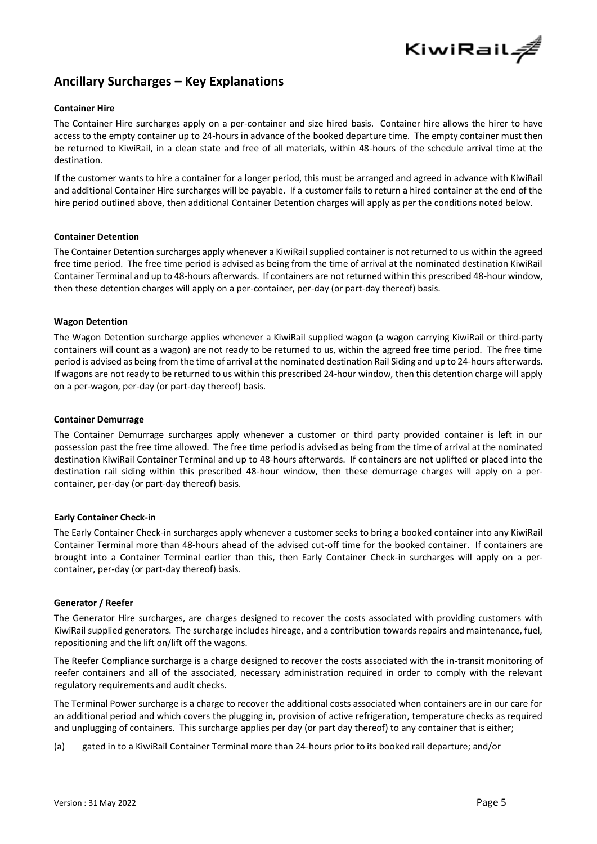

# **Ancillary Surcharges – Key Explanations**

#### **Container Hire**

The Container Hire surcharges apply on a per-container and size hired basis. Container hire allows the hirer to have access to the empty container up to 24-hours in advance of the booked departure time. The empty container must then be returned to KiwiRail, in a clean state and free of all materials, within 48-hours of the schedule arrival time at the destination.

If the customer wants to hire a container for a longer period, this must be arranged and agreed in advance with KiwiRail and additional Container Hire surcharges will be payable. If a customer fails to return a hired container at the end of the hire period outlined above, then additional Container Detention charges will apply as per the conditions noted below.

#### **Container Detention**

The Container Detention surcharges apply whenever a KiwiRail supplied container is not returned to us within the agreed free time period. The free time period is advised as being from the time of arrival at the nominated destination KiwiRail Container Terminal and up to 48-hours afterwards. If containers are not returned within this prescribed 48-hour window, then these detention charges will apply on a per-container, per-day (or part-day thereof) basis.

#### **Wagon Detention**

The Wagon Detention surcharge applies whenever a KiwiRail supplied wagon (a wagon carrying KiwiRail or third-party containers will count as a wagon) are not ready to be returned to us, within the agreed free time period. The free time period is advised as being from the time of arrival at the nominated destination Rail Siding and up to 24-hours afterwards. If wagons are not ready to be returned to us within this prescribed 24-hour window, then this detention charge will apply on a per-wagon, per-day (or part-day thereof) basis.

#### **Container Demurrage**

The Container Demurrage surcharges apply whenever a customer or third party provided container is left in our possession past the free time allowed. The free time period is advised as being from the time of arrival at the nominated destination KiwiRail Container Terminal and up to 48-hours afterwards. If containers are not uplifted or placed into the destination rail siding within this prescribed 48-hour window, then these demurrage charges will apply on a percontainer, per-day (or part-day thereof) basis.

#### **Early Container Check-in**

The Early Container Check-in surcharges apply whenever a customer seeks to bring a booked container into any KiwiRail Container Terminal more than 48-hours ahead of the advised cut-off time for the booked container. If containers are brought into a Container Terminal earlier than this, then Early Container Check-in surcharges will apply on a percontainer, per-day (or part-day thereof) basis.

#### **Generator / Reefer**

The Generator Hire surcharges, are charges designed to recover the costs associated with providing customers with KiwiRail supplied generators. The surcharge includes hireage, and a contribution towards repairs and maintenance, fuel, repositioning and the lift on/lift off the wagons.

The Reefer Compliance surcharge is a charge designed to recover the costs associated with the in-transit monitoring of reefer containers and all of the associated, necessary administration required in order to comply with the relevant regulatory requirements and audit checks.

The Terminal Power surcharge is a charge to recover the additional costs associated when containers are in our care for an additional period and which covers the plugging in, provision of active refrigeration, temperature checks as required and unplugging of containers. This surcharge applies per day (or part day thereof) to any container that is either;

(a) gated in to a KiwiRail Container Terminal more than 24-hours prior to its booked rail departure; and/or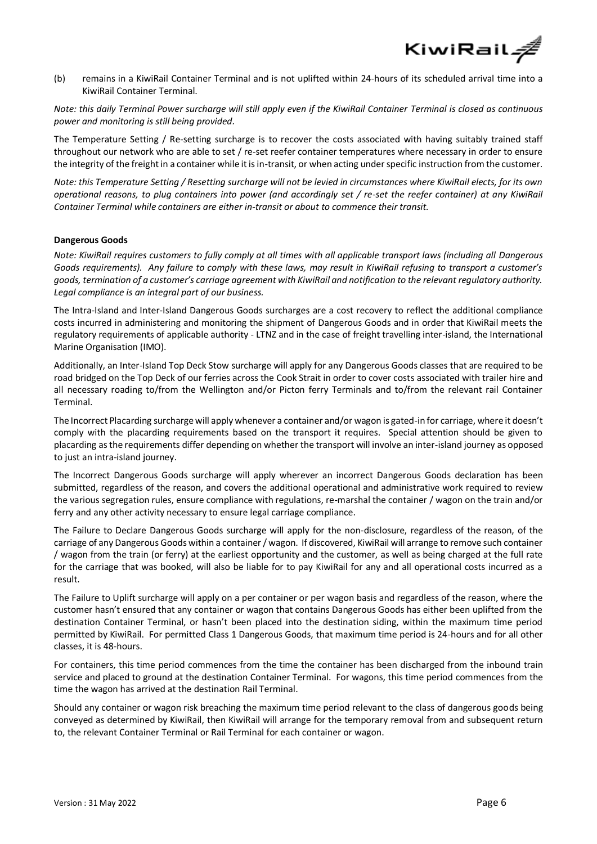

(b) remains in a KiwiRail Container Terminal and is not uplifted within 24-hours of its scheduled arrival time into a KiwiRail Container Terminal.

*Note: this daily Terminal Power surcharge will still apply even if the KiwiRail Container Terminal is closed as continuous power and monitoring is still being provided.*

The Temperature Setting / Re-setting surcharge is to recover the costs associated with having suitably trained staff throughout our network who are able to set / re-set reefer container temperatures where necessary in order to ensure the integrity of the freight in a container while it is in-transit, or when acting under specific instruction from the customer.

*Note: this Temperature Setting / Resetting surcharge will not be levied in circumstances where KiwiRail elects, for its own operational reasons, to plug containers into power (and accordingly set / re-set the reefer container) at any KiwiRail Container Terminal while containers are either in-transit or about to commence their transit.* 

# **Dangerous Goods**

*Note: KiwiRail requires customers to fully comply at all times with all applicable transport laws (including all Dangerous Goods requirements). Any failure to comply with these laws, may result in KiwiRail refusing to transport a customer's goods, termination of a customer's carriage agreement with KiwiRail and notification to the relevant regulatory authority. Legal compliance is an integral part of our business.* 

The Intra-Island and Inter-Island Dangerous Goods surcharges are a cost recovery to reflect the additional compliance costs incurred in administering and monitoring the shipment of Dangerous Goods and in order that KiwiRail meets the regulatory requirements of applicable authority - LTNZ and in the case of freight travelling inter-island, the International Marine Organisation (IMO).

Additionally, an Inter-Island Top Deck Stow surcharge will apply for any Dangerous Goods classes that are required to be road bridged on the Top Deck of our ferries across the Cook Strait in order to cover costs associated with trailer hire and all necessary roading to/from the Wellington and/or Picton ferry Terminals and to/from the relevant rail Container Terminal.

The Incorrect Placarding surcharge will apply whenever a container and/or wagon is gated-in for carriage, where it doesn't comply with the placarding requirements based on the transport it requires. Special attention should be given to placarding as the requirements differ depending on whether the transport will involve an inter-island journey as opposed to just an intra-island journey.

The Incorrect Dangerous Goods surcharge will apply wherever an incorrect Dangerous Goods declaration has been submitted, regardless of the reason, and covers the additional operational and administrative work required to review the various segregation rules, ensure compliance with regulations, re-marshal the container / wagon on the train and/or ferry and any other activity necessary to ensure legal carriage compliance.

The Failure to Declare Dangerous Goods surcharge will apply for the non-disclosure, regardless of the reason, of the carriage of any Dangerous Goods within a container / wagon. If discovered, KiwiRail will arrange to remove such container / wagon from the train (or ferry) at the earliest opportunity and the customer, as well as being charged at the full rate for the carriage that was booked, will also be liable for to pay KiwiRail for any and all operational costs incurred as a result.

The Failure to Uplift surcharge will apply on a per container or per wagon basis and regardless of the reason, where the customer hasn't ensured that any container or wagon that contains Dangerous Goods has either been uplifted from the destination Container Terminal, or hasn't been placed into the destination siding, within the maximum time period permitted by KiwiRail. For permitted Class 1 Dangerous Goods, that maximum time period is 24-hours and for all other classes, it is 48-hours.

For containers, this time period commences from the time the container has been discharged from the inbound train service and placed to ground at the destination Container Terminal. For wagons, this time period commences from the time the wagon has arrived at the destination Rail Terminal.

Should any container or wagon risk breaching the maximum time period relevant to the class of dangerous goods being conveyed as determined by KiwiRail, then KiwiRail will arrange for the temporary removal from and subsequent return to, the relevant Container Terminal or Rail Terminal for each container or wagon.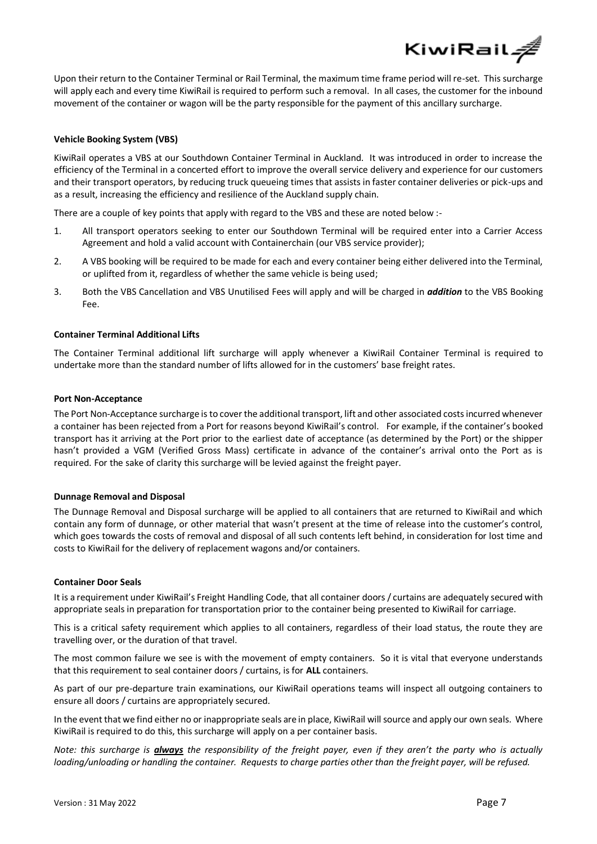KiwiRail*÷* 

Upon their return to the Container Terminal or Rail Terminal, the maximum time frame period will re-set. This surcharge will apply each and every time KiwiRail is required to perform such a removal. In all cases, the customer for the inbound movement of the container or wagon will be the party responsible for the payment of this ancillary surcharge.

# **Vehicle Booking System (VBS)**

KiwiRail operates a VBS at our Southdown Container Terminal in Auckland. It was introduced in order to increase the efficiency of the Terminal in a concerted effort to improve the overall service delivery and experience for our customers and their transport operators, by reducing truck queueing times that assists in faster container deliveries or pick-ups and as a result, increasing the efficiency and resilience of the Auckland supply chain.

There are a couple of key points that apply with regard to the VBS and these are noted below :-

- 1. All transport operators seeking to enter our Southdown Terminal will be required enter into a Carrier Access Agreement and hold a valid account with Containerchain (our VBS service provider);
- 2. A VBS booking will be required to be made for each and every container being either delivered into the Terminal, or uplifted from it, regardless of whether the same vehicle is being used;
- 3. Both the VBS Cancellation and VBS Unutilised Fees will apply and will be charged in *addition* to the VBS Booking Fee.

#### **Container Terminal Additional Lifts**

The Container Terminal additional lift surcharge will apply whenever a KiwiRail Container Terminal is required to undertake more than the standard number of lifts allowed for in the customers' base freight rates.

#### **Port Non-Acceptance**

The Port Non-Acceptance surcharge is to cover the additional transport, lift and other associated costs incurred whenever a container has been rejected from a Port for reasons beyond KiwiRail's control. For example, if the container's booked transport has it arriving at the Port prior to the earliest date of acceptance (as determined by the Port) or the shipper hasn't provided a VGM (Verified Gross Mass) certificate in advance of the container's arrival onto the Port as is required. For the sake of clarity this surcharge will be levied against the freight payer.

#### **Dunnage Removal and Disposal**

The Dunnage Removal and Disposal surcharge will be applied to all containers that are returned to KiwiRail and which contain any form of dunnage, or other material that wasn't present at the time of release into the customer's control, which goes towards the costs of removal and disposal of all such contents left behind, in consideration for lost time and costs to KiwiRail for the delivery of replacement wagons and/or containers.

#### **Container Door Seals**

It is a requirement under KiwiRail's Freight Handling Code, that all container doors / curtains are adequately secured with appropriate seals in preparation for transportation prior to the container being presented to KiwiRail for carriage.

This is a critical safety requirement which applies to all containers, regardless of their load status, the route they are travelling over, or the duration of that travel.

The most common failure we see is with the movement of empty containers. So it is vital that everyone understands that this requirement to seal container doors / curtains, is for **ALL** containers.

As part of our pre-departure train examinations, our KiwiRail operations teams will inspect all outgoing containers to ensure all doors / curtains are appropriately secured.

In the event that we find either no or inappropriate seals are in place, KiwiRail will source and apply our own seals. Where KiwiRail is required to do this, this surcharge will apply on a per container basis.

*Note: this surcharge is always the responsibility of the freight payer, even if they aren't the party who is actually loading/unloading or handling the container. Requests to charge parties other than the freight payer, will be refused.*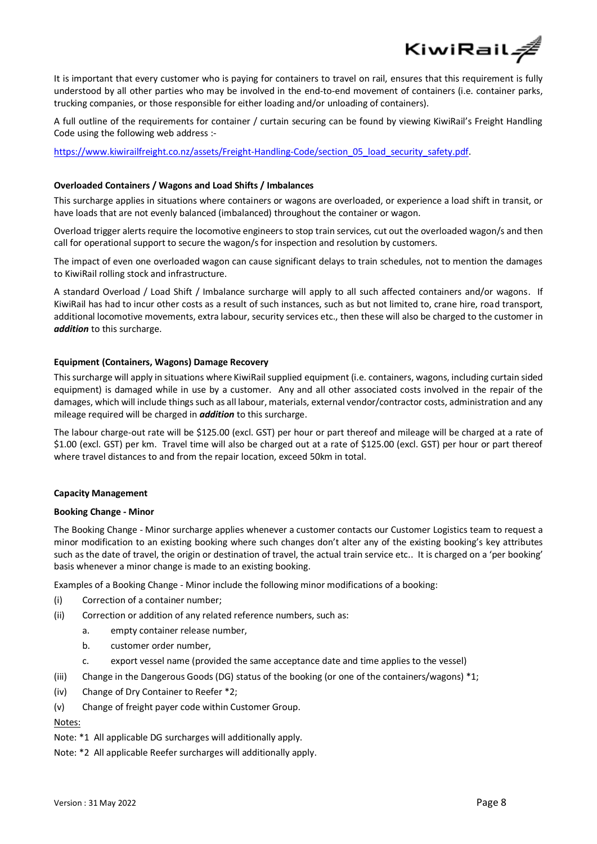

It is important that every customer who is paying for containers to travel on rail, ensures that this requirement is fully understood by all other parties who may be involved in the end-to-end movement of containers (i.e. container parks, trucking companies, or those responsible for either loading and/or unloading of containers).

A full outline of the requirements for container / curtain securing can be found by viewing KiwiRail's Freight Handling Code using the following web address :-

[https://www.kiwirailfreight.co.nz/assets/Freight-Handling-Code/section\\_05\\_load\\_security\\_safety.pdf.](https://www.kiwirailfreight.co.nz/assets/Freight-Handling-Code/section_05_load_security_safety.pdf)

# **Overloaded Containers / Wagons and Load Shifts / Imbalances**

This surcharge applies in situations where containers or wagons are overloaded, or experience a load shift in transit, or have loads that are not evenly balanced (imbalanced) throughout the container or wagon.

Overload trigger alerts require the locomotive engineers to stop train services, cut out the overloaded wagon/s and then call for operational support to secure the wagon/s for inspection and resolution by customers.

The impact of even one overloaded wagon can cause significant delays to train schedules, not to mention the damages to KiwiRail rolling stock and infrastructure.

A standard Overload / Load Shift / Imbalance surcharge will apply to all such affected containers and/or wagons. If KiwiRail has had to incur other costs as a result of such instances, such as but not limited to, crane hire, road transport, additional locomotive movements, extra labour, security services etc., then these will also be charged to the customer in *addition* to this surcharge.

# **Equipment (Containers, Wagons) Damage Recovery**

This surcharge will apply in situations where KiwiRail supplied equipment (i.e. containers, wagons, including curtain sided equipment) is damaged while in use by a customer. Any and all other associated costs involved in the repair of the damages, which will include things such as all labour, materials, external vendor/contractor costs, administration and any mileage required will be charged in *addition* to this surcharge.

The labour charge-out rate will be \$125.00 (excl. GST) per hour or part thereof and mileage will be charged at a rate of \$1.00 (excl. GST) per km. Travel time will also be charged out at a rate of \$125.00 (excl. GST) per hour or part thereof where travel distances to and from the repair location, exceed 50km in total.

#### **Capacity Management**

#### **Booking Change - Minor**

The Booking Change - Minor surcharge applies whenever a customer contacts our Customer Logistics team to request a minor modification to an existing booking where such changes don't alter any of the existing booking's key attributes such as the date of travel, the origin or destination of travel, the actual train service etc.. It is charged on a 'per booking' basis whenever a minor change is made to an existing booking.

Examples of a Booking Change - Minor include the following minor modifications of a booking:

- (i) Correction of a container number;
- (ii) Correction or addition of any related reference numbers, such as:
	- a. empty container release number,
	- b. customer order number,
	- c. export vessel name (provided the same acceptance date and time applies to the vessel)
- (iii) Change in the Dangerous Goods (DG) status of the booking (or one of the containers/wagons) \*1;
- (iv) Change of Dry Container to Reefer \*2;
- (v) Change of freight payer code within Customer Group.

# Notes:

Note: \*1 All applicable DG surcharges will additionally apply.

Note: \*2 All applicable Reefer surcharges will additionally apply.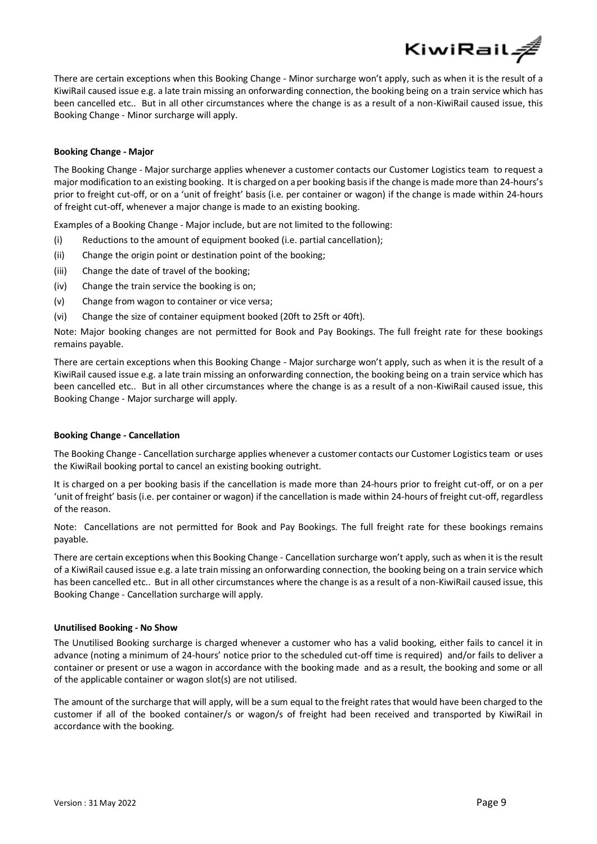There are certain exceptions when this Booking Change - Minor surcharge won't apply, such as when it is the result of a KiwiRail caused issue e.g. a late train missing an onforwarding connection, the booking being on a train service which has been cancelled etc.. But in all other circumstances where the change is as a result of a non-KiwiRail caused issue, this Booking Change - Minor surcharge will apply.

KiwiRail*á* 

#### **Booking Change - Major**

The Booking Change - Major surcharge applies whenever a customer contacts our Customer Logistics team to request a major modification to an existing booking. Itis charged on a per booking basis if the change is made more than 24-hours's prior to freight cut-off, or on a 'unit of freight' basis (i.e. per container or wagon) if the change is made within 24-hours of freight cut-off, whenever a major change is made to an existing booking.

Examples of a Booking Change - Major include, but are not limited to the following:

- (i) Reductions to the amount of equipment booked (i.e. partial cancellation);
- (ii) Change the origin point or destination point of the booking;
- (iii) Change the date of travel of the booking;
- (iv) Change the train service the booking is on;
- (v) Change from wagon to container or vice versa;
- (vi) Change the size of container equipment booked (20ft to 25ft or 40ft).

Note: Major booking changes are not permitted for Book and Pay Bookings. The full freight rate for these bookings remains payable.

There are certain exceptions when this Booking Change - Major surcharge won't apply, such as when it is the result of a KiwiRail caused issue e.g. a late train missing an onforwarding connection, the booking being on a train service which has been cancelled etc.. But in all other circumstances where the change is as a result of a non-KiwiRail caused issue, this Booking Change - Major surcharge will apply.

#### **Booking Change - Cancellation**

The Booking Change - Cancellation surcharge applies whenever a customer contacts our Customer Logisticsteam or uses the KiwiRail booking portal to cancel an existing booking outright.

It is charged on a per booking basis if the cancellation is made more than 24-hours prior to freight cut-off, or on a per 'unit of freight' basis (i.e. per container or wagon) if the cancellation is made within 24-hours of freight cut-off, regardless of the reason.

Note: Cancellations are not permitted for Book and Pay Bookings. The full freight rate for these bookings remains payable.

There are certain exceptions when this Booking Change - Cancellation surcharge won't apply, such as when it is the result of a KiwiRail caused issue e.g. a late train missing an onforwarding connection, the booking being on a train service which has been cancelled etc.. But in all other circumstances where the change is as a result of a non-KiwiRail caused issue, this Booking Change - Cancellation surcharge will apply.

#### **Unutilised Booking - No Show**

The Unutilised Booking surcharge is charged whenever a customer who has a valid booking, either fails to cancel it in advance (noting a minimum of 24-hours' notice prior to the scheduled cut-off time is required) and/or fails to deliver a container or present or use a wagon in accordance with the booking made and as a result, the booking and some or all of the applicable container or wagon slot(s) are not utilised.

The amount of the surcharge that will apply, will be a sum equal to the freight rates that would have been charged to the customer if all of the booked container/s or wagon/s of freight had been received and transported by KiwiRail in accordance with the booking.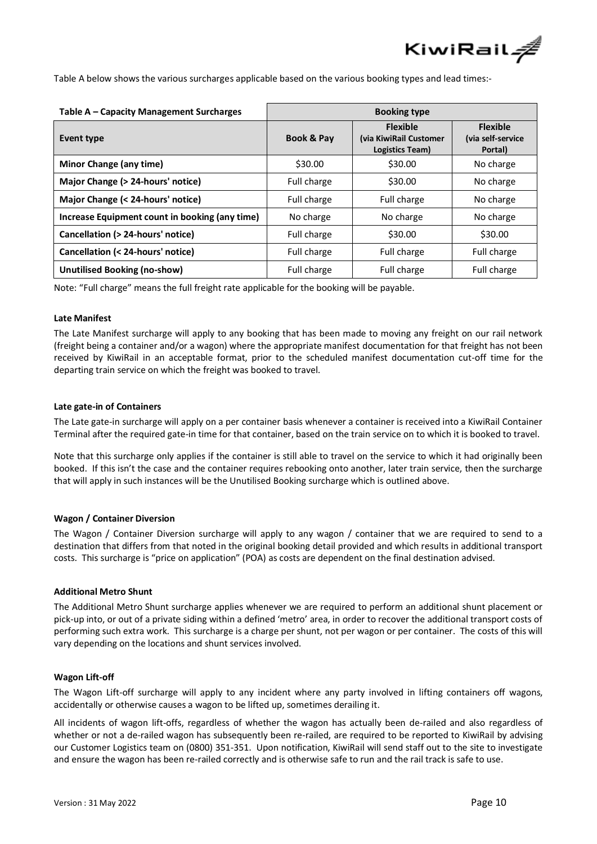

Table A below shows the various surcharges applicable based on the various booking types and lead times:-

| Table A – Capacity Management Surcharges       | <b>Booking type</b>   |                                                              |                                                 |  |
|------------------------------------------------|-----------------------|--------------------------------------------------------------|-------------------------------------------------|--|
| Event type                                     | <b>Book &amp; Pay</b> | <b>Flexible</b><br>(via KiwiRail Customer<br>Logistics Team) | <b>Flexible</b><br>(via self-service<br>Portal) |  |
| <b>Minor Change (any time)</b>                 | \$30.00               | \$30.00                                                      | No charge                                       |  |
| Major Change (> 24-hours' notice)              | Full charge           | \$30.00                                                      | No charge                                       |  |
| Major Change (< 24-hours' notice)              | Full charge           | Full charge                                                  | No charge                                       |  |
| Increase Equipment count in booking (any time) | No charge             | No charge                                                    | No charge                                       |  |
| Cancellation (> 24-hours' notice)              | Full charge           | \$30.00                                                      | \$30.00                                         |  |
| Cancellation (< 24-hours' notice)              | Full charge           | Full charge                                                  | Full charge                                     |  |
| <b>Unutilised Booking (no-show)</b>            | Full charge           | Full charge                                                  | Full charge                                     |  |

Note: "Full charge" means the full freight rate applicable for the booking will be payable.

#### **Late Manifest**

The Late Manifest surcharge will apply to any booking that has been made to moving any freight on our rail network (freight being a container and/or a wagon) where the appropriate manifest documentation for that freight has not been received by KiwiRail in an acceptable format, prior to the scheduled manifest documentation cut-off time for the departing train service on which the freight was booked to travel.

#### **Late gate-in of Containers**

The Late gate-in surcharge will apply on a per container basis whenever a container is received into a KiwiRail Container Terminal after the required gate-in time for that container, based on the train service on to which it is booked to travel.

Note that this surcharge only applies if the container is still able to travel on the service to which it had originally been booked. If this isn't the case and the container requires rebooking onto another, later train service, then the surcharge that will apply in such instances will be the Unutilised Booking surcharge which is outlined above.

# **Wagon / Container Diversion**

The Wagon / Container Diversion surcharge will apply to any wagon / container that we are required to send to a destination that differs from that noted in the original booking detail provided and which results in additional transport costs. This surcharge is "price on application" (POA) as costs are dependent on the final destination advised.

#### **Additional Metro Shunt**

The Additional Metro Shunt surcharge applies whenever we are required to perform an additional shunt placement or pick-up into, or out of a private siding within a defined 'metro' area, in order to recover the additional transport costs of performing such extra work. This surcharge is a charge per shunt, not per wagon or per container. The costs of this will vary depending on the locations and shunt services involved.

#### **Wagon Lift-off**

The Wagon Lift-off surcharge will apply to any incident where any party involved in lifting containers off wagons, accidentally or otherwise causes a wagon to be lifted up, sometimes derailing it.

All incidents of wagon lift-offs, regardless of whether the wagon has actually been de-railed and also regardless of whether or not a de-railed wagon has subsequently been re-railed, are required to be reported to KiwiRail by advising our Customer Logistics team on (0800) 351-351. Upon notification, KiwiRail will send staff out to the site to investigate and ensure the wagon has been re-railed correctly and is otherwise safe to run and the rail track is safe to use.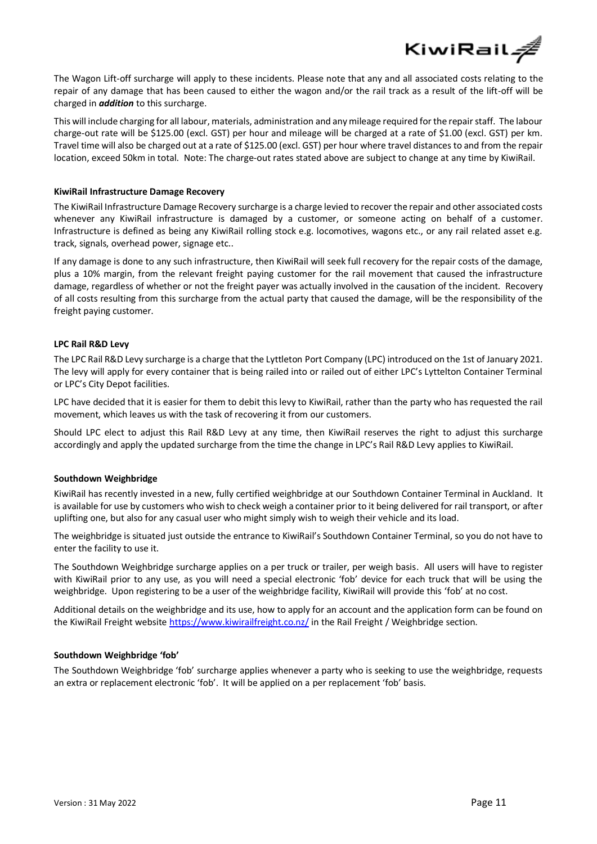

The Wagon Lift-off surcharge will apply to these incidents. Please note that any and all associated costs relating to the repair of any damage that has been caused to either the wagon and/or the rail track as a result of the lift-off will be charged in *addition* to this surcharge.

This will include charging for all labour, materials, administration and any mileage required for the repair staff. The labour charge-out rate will be \$125.00 (excl. GST) per hour and mileage will be charged at a rate of \$1.00 (excl. GST) per km. Travel time will also be charged out at a rate of \$125.00 (excl. GST) per hour where travel distances to and from the repair location, exceed 50km in total. Note: The charge-out rates stated above are subject to change at any time by KiwiRail.

#### **KiwiRail Infrastructure Damage Recovery**

The KiwiRail Infrastructure Damage Recovery surcharge is a charge levied to recover the repair and other associated costs whenever any KiwiRail infrastructure is damaged by a customer, or someone acting on behalf of a customer. Infrastructure is defined as being any KiwiRail rolling stock e.g. locomotives, wagons etc., or any rail related asset e.g. track, signals, overhead power, signage etc..

If any damage is done to any such infrastructure, then KiwiRail will seek full recovery for the repair costs of the damage, plus a 10% margin, from the relevant freight paying customer for the rail movement that caused the infrastructure damage, regardless of whether or not the freight payer was actually involved in the causation of the incident. Recovery of all costs resulting from this surcharge from the actual party that caused the damage, will be the responsibility of the freight paying customer.

#### **LPC Rail R&D Levy**

The LPC Rail R&D Levy surcharge is a charge that the Lyttleton Port Company (LPC) introduced on the 1st of January 2021. The levy will apply for every container that is being railed into or railed out of either LPC's Lyttelton Container Terminal or LPC's City Depot facilities.

LPC have decided that it is easier for them to debit this levy to KiwiRail, rather than the party who has requested the rail movement, which leaves us with the task of recovering it from our customers.

Should LPC elect to adjust this Rail R&D Levy at any time, then KiwiRail reserves the right to adjust this surcharge accordingly and apply the updated surcharge from the time the change in LPC's Rail R&D Levy applies to KiwiRail.

# **Southdown Weighbridge**

KiwiRail has recently invested in a new, fully certified weighbridge at our Southdown Container Terminal in Auckland. It is available for use by customers who wish to check weigh a container prior to it being delivered for rail transport, or after uplifting one, but also for any casual user who might simply wish to weigh their vehicle and its load.

The weighbridge is situated just outside the entrance to KiwiRail's Southdown Container Terminal, so you do not have to enter the facility to use it.

The Southdown Weighbridge surcharge applies on a per truck or trailer, per weigh basis. All users will have to register with KiwiRail prior to any use, as you will need a special electronic 'fob' device for each truck that will be using the weighbridge. Upon registering to be a user of the weighbridge facility, KiwiRail will provide this 'fob' at no cost.

Additional details on the weighbridge and its use, how to apply for an account and the application form can be found on the KiwiRail Freight website<https://www.kiwirailfreight.co.nz/> in the Rail Freight / Weighbridge section.

#### **Southdown Weighbridge 'fob'**

The Southdown Weighbridge 'fob' surcharge applies whenever a party who is seeking to use the weighbridge, requests an extra or replacement electronic 'fob'. It will be applied on a per replacement 'fob' basis.